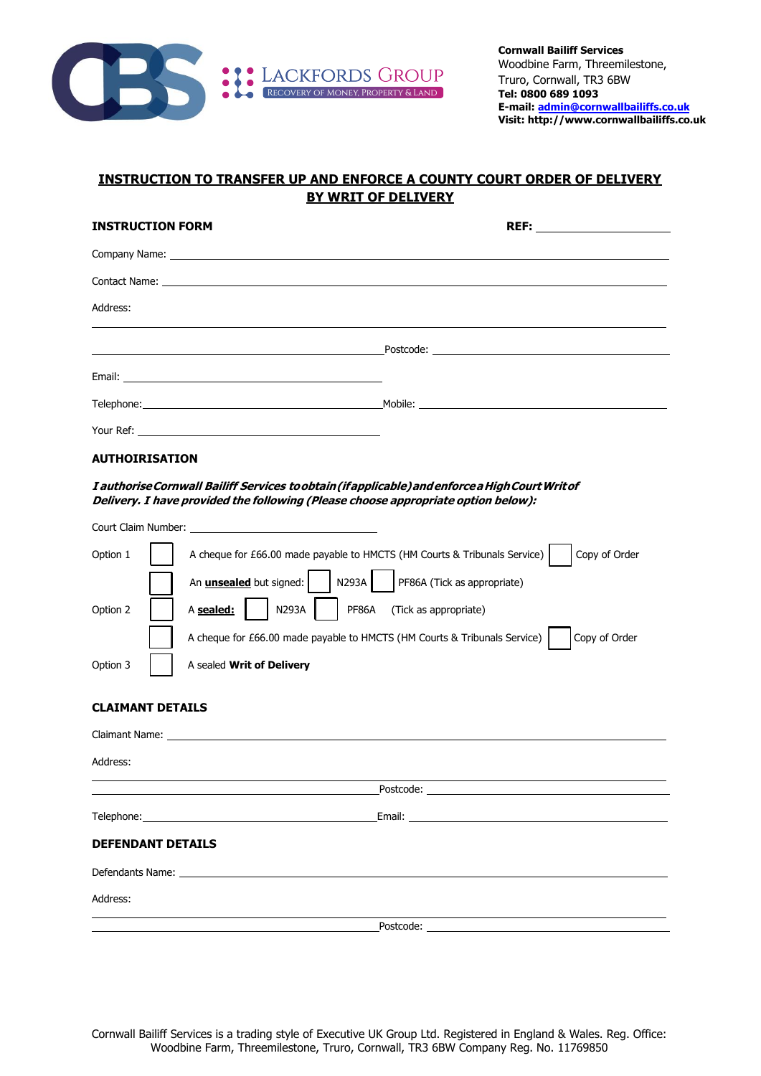

## **INSTRUCTION TO TRANSFER UP AND ENFORCE A COUNTY COURT ORDER OF DELIVERY BY WRIT OF DELIVERY**

| <b>INSTRUCTION FORM</b>                                                                                                                                                                                                       |                             |  |  |  |
|-------------------------------------------------------------------------------------------------------------------------------------------------------------------------------------------------------------------------------|-----------------------------|--|--|--|
|                                                                                                                                                                                                                               |                             |  |  |  |
| Contact Name: The contract of the contract of the contract of the contract of the contract of the contract of the contract of the contract of the contract of the contract of the contract of the contract of the contract of |                             |  |  |  |
| Address:                                                                                                                                                                                                                      |                             |  |  |  |
|                                                                                                                                                                                                                               |                             |  |  |  |
|                                                                                                                                                                                                                               |                             |  |  |  |
| Email: <u>Alexander and Alexander and Alexander and Alexander and Alexander and Alexander and Alexander and Alex</u>                                                                                                          |                             |  |  |  |
|                                                                                                                                                                                                                               |                             |  |  |  |
|                                                                                                                                                                                                                               |                             |  |  |  |
| <b>AUTHOIRISATION</b>                                                                                                                                                                                                         |                             |  |  |  |
| I authorise Cornwall Bailiff Services to obtain (if applicable) and enforce a High Court Writ of<br>Delivery. I have provided the following (Please choose appropriate option below):                                         |                             |  |  |  |
|                                                                                                                                                                                                                               |                             |  |  |  |
| A cheque for £66.00 made payable to HMCTS (HM Courts & Tribunals Service)<br>Option 1                                                                                                                                         | Copy of Order               |  |  |  |
| N293A<br>An <b>unsealed</b> but signed:                                                                                                                                                                                       | PF86A (Tick as appropriate) |  |  |  |
| <b>N293A</b><br>PF86A<br>Option 2<br>A sealed:                                                                                                                                                                                | (Tick as appropriate)       |  |  |  |
| A cheque for £66.00 made payable to HMCTS (HM Courts & Tribunals Service)                                                                                                                                                     | Copy of Order               |  |  |  |
| A sealed Writ of Delivery<br>Option 3                                                                                                                                                                                         |                             |  |  |  |
|                                                                                                                                                                                                                               |                             |  |  |  |
| <b>CLAIMANT DETAILS</b>                                                                                                                                                                                                       |                             |  |  |  |
|                                                                                                                                                                                                                               |                             |  |  |  |
| Address:                                                                                                                                                                                                                      |                             |  |  |  |
|                                                                                                                                                                                                                               |                             |  |  |  |
|                                                                                                                                                                                                                               |                             |  |  |  |
| <b>DEFENDANT DETAILS</b>                                                                                                                                                                                                      |                             |  |  |  |
|                                                                                                                                                                                                                               |                             |  |  |  |
| Address:                                                                                                                                                                                                                      |                             |  |  |  |
|                                                                                                                                                                                                                               |                             |  |  |  |
|                                                                                                                                                                                                                               |                             |  |  |  |